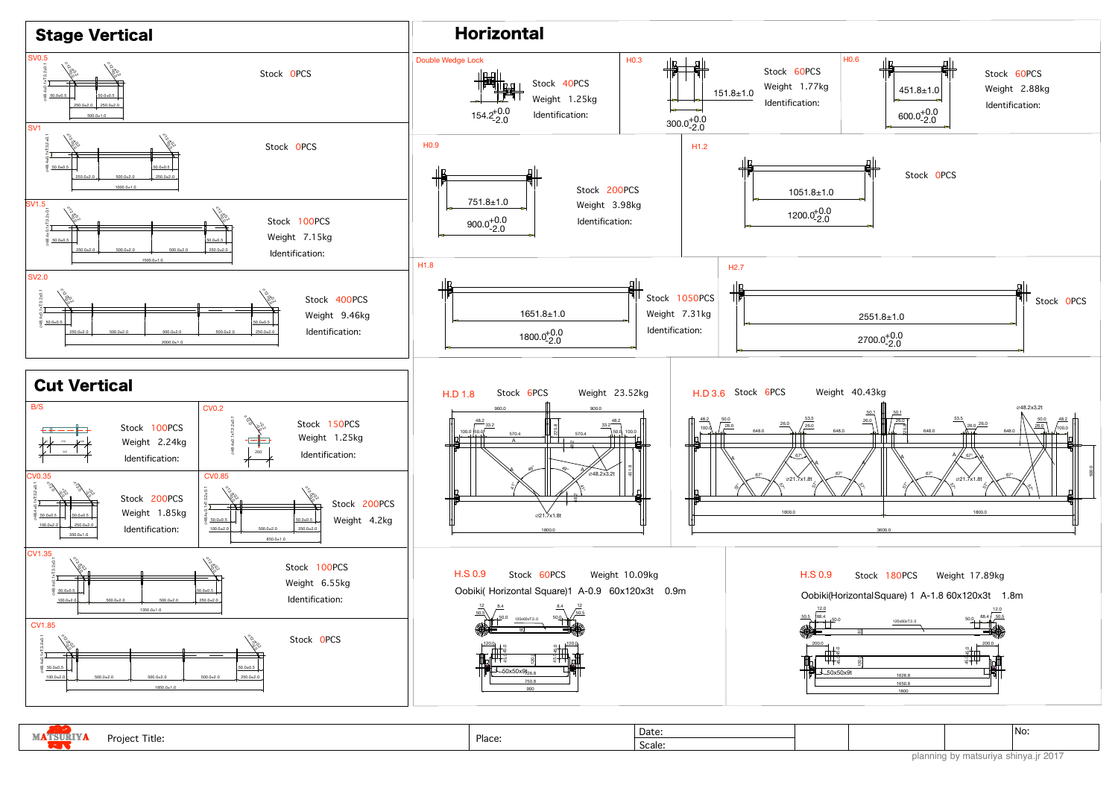| <b>MATSURIYA</b> | Project Title: | Place: | Date:  |  |
|------------------|----------------|--------|--------|--|
|                  |                |        | Scale: |  |

No:

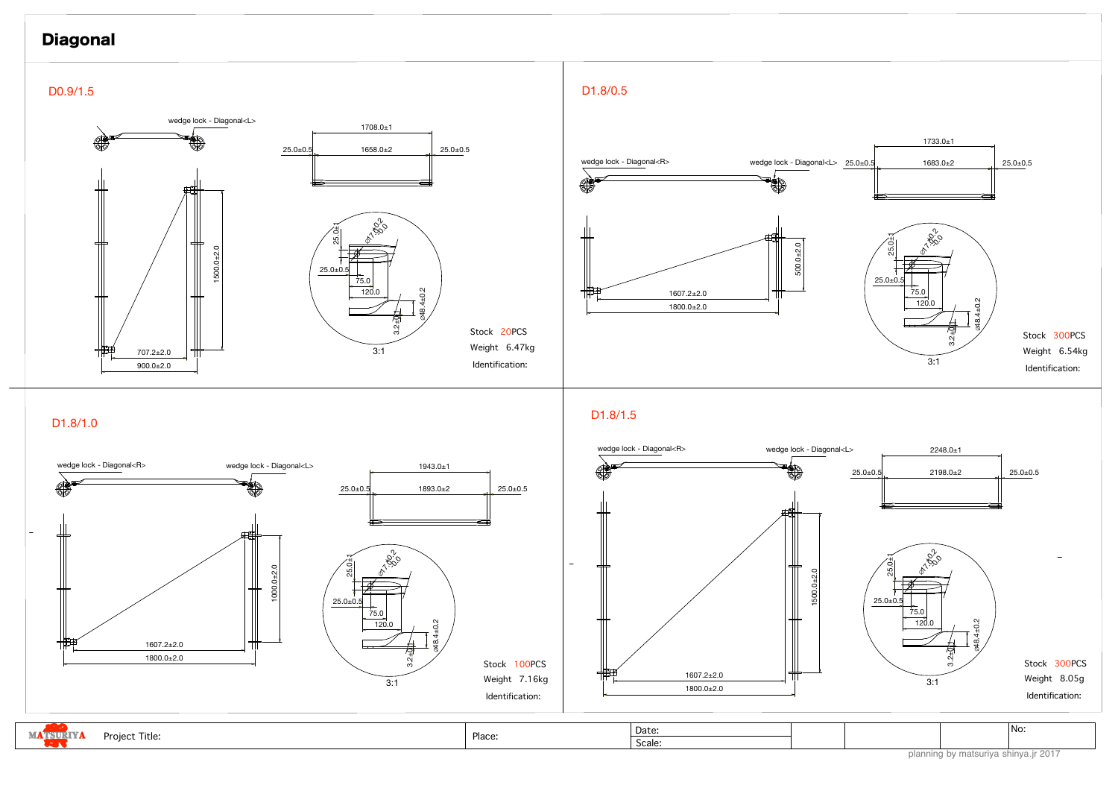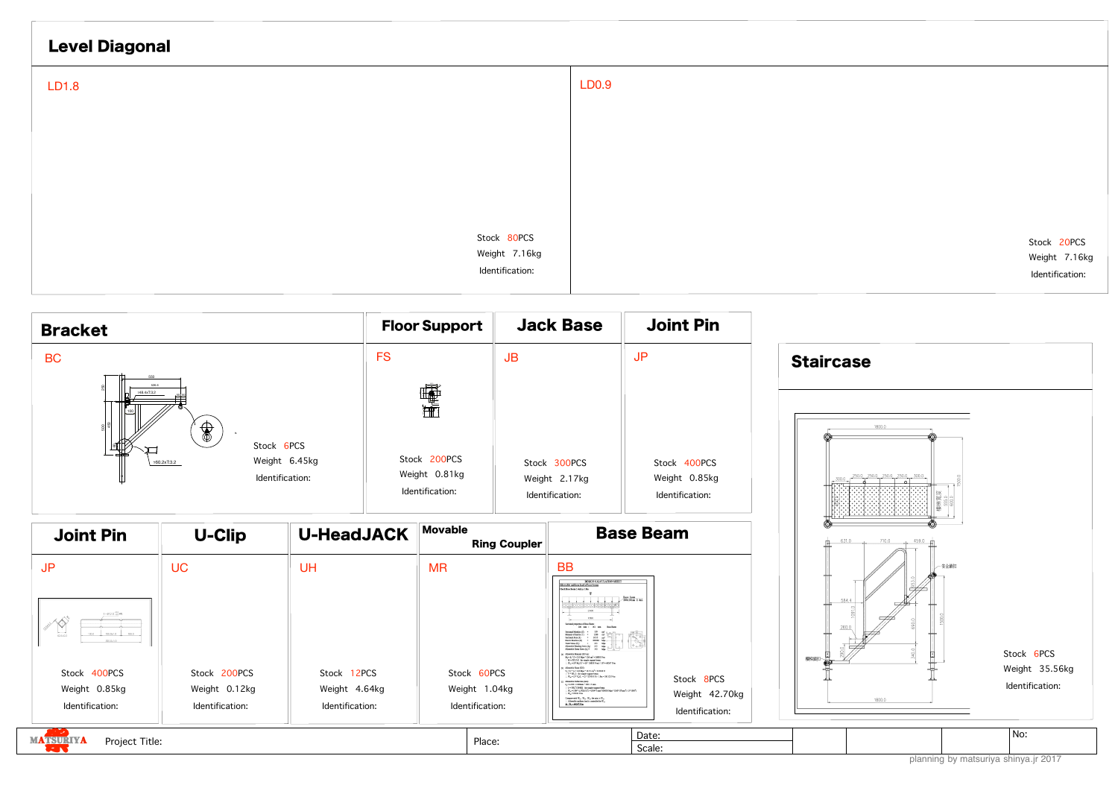planning by matsuriya shinya.jr 2017

| <b>Level Diagonal</b> |                                  |              |
|-----------------------|----------------------------------|--------------|
| LD1.8                 |                                  | <b>LD0.9</b> |
|                       |                                  |              |
|                       |                                  |              |
|                       |                                  |              |
|                       | Stock 80PCS                      |              |
|                       | Weight 7.16kg<br>Identification: |              |
|                       |                                  |              |

Stock 20PCS Weight 7.16kg Identification:



| <b>Joint Pin</b>                                                                                               | <b>U-Clip</b>                                    | <b>U-HeadJACK</b>                               | Movable<br><b>Ring Coupler</b>                  | <b>Base Beam</b>                                                                                                                                                                                                                                                                                                                                                                                                                                                                                                                                                                                                                                                                                                                                                                   |       |
|----------------------------------------------------------------------------------------------------------------|--------------------------------------------------|-------------------------------------------------|-------------------------------------------------|------------------------------------------------------------------------------------------------------------------------------------------------------------------------------------------------------------------------------------------------------------------------------------------------------------------------------------------------------------------------------------------------------------------------------------------------------------------------------------------------------------------------------------------------------------------------------------------------------------------------------------------------------------------------------------------------------------------------------------------------------------------------------------|-------|
| J <sub>P</sub><br>$4 - 912.0_{-0.0}^{+0.2}$ #R<br>100.0<br>100.0±1.0<br>100.0<br>$40.5 + 0.2$<br>$300.0 + 1.0$ | <b>UC</b>                                        | <b>UH</b>                                       | <b>MR</b>                                       | <b>BB</b><br>DESIGN CALCULATION SHEET<br>llowable uniform load of base beam<br>beck Base Beam 2.4mLa 1.8m<br>$\frac{\text{Base beam}}{\text{200x161nm 2.4nl}}$<br>.<br>Sectional reporties of Rase Reg<br>ctional Medulus (Z)<br>Manuet of Inettia (1) =<br>1360 cm<br>$- 16.55$ $cm3$<br>Sectional Area (A)<br>- 200000 Мра<br>Flastic Modulus (F)<br>Extra Motors (Ey) = $255$ Mpa<br>$\frac{1}{255}$ Mpa<br>$\frac{1}{255}$ Mpa<br>$\frac{1}{255}$ Mpa<br>$\frac{1}{255}$ Mpa<br>$\frac{1}{255}$ Mpa<br>$\frac{1}{255}$ Mpa<br>$\frac{1}{255}$<br>Honokla Manuet (KN.es<br>$M_4 = f_0 * Z = 213$ Mps * 116 cm <sup>3</sup> = 26838 N-m<br>$\vee$ M = (WL <sup>2</sup> )/E for simple support beam                                                                               | 樓梯鎖扣- |
| Stock 400PCS<br>Weight 0.85kg<br>Identification:                                                               | Stock 200PCS<br>Weight 0.12kg<br>Identification: | Stock 12PCS<br>Weight 4.64kg<br>Identification: | Stock 60PCS<br>Weight 1.04kg<br>Identification: | $W_{m} = (8 * M_{n}) L^{3} = (8 * 26838 N_{m} / 1.8^{2} = 66267 N_{0}$<br>Allowable Shear (SDC)<br>$V_a = f_a + A = 142$ Mps * 16:55 cm <sup>3</sup> = 235010 N<br>$\because$ V = WL2 for simple support beam<br>: $W_{\rm eff} = (2^{\circ} \text{ V}_0)(1 = (2^{\circ} \cdot 235000 \text{ N}) / 1.8 \text{m} = 261122 \text{ N/s}$<br>Stock 8PCS<br>Allowable Deflection (mm):<br>$4. - 1.360 - 1800$ mm * 360 - 5 mm<br>$\cdot$ $z=$ SWL*(384EI) for simple support beam<br>: We = (384* 5, "ED(3L*) = (384*5 mm *200000 Mps *1260*10*mm*) / (5*1800*)<br>Weight 42.70kg<br>$W_0 = 92181 N/m$<br>Compare with $W_{\rm ad}$ , $W_{\rm ad}$ , $W_{\rm ab}$ the min. is $W_{\rm ad}$<br>. Allowable uniform lead is controlled by W.<br>$X = W_1 = 66267$ N in<br>Identification: |       |
| <b>MATSURIYA</b><br>Project Title:<br><b>CENT</b>                                                              |                                                  |                                                 | Place:                                          | Date:<br>Scale:                                                                                                                                                                                                                                                                                                                                                                                                                                                                                                                                                                                                                                                                                                                                                                    |       |